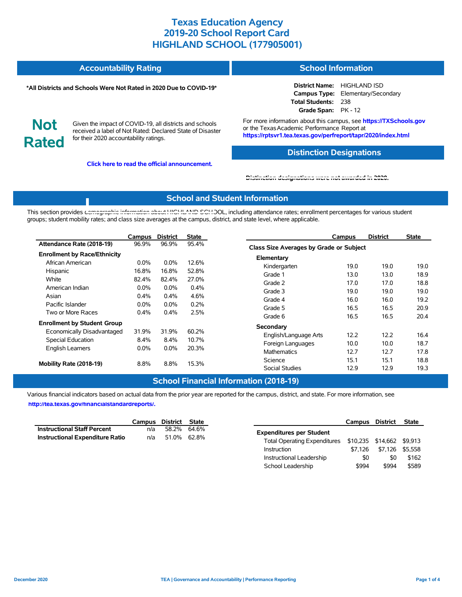#### **Accountability Rating School Information**

#### **\*All Districts and Schools Were Not Rated in 2020 Due to COVID-19\***

**District Name:** HIGHLAND ISD **Campus Type:** Elementary/Secondary **Total Students:** 238 **Grade Span:** PK - 12

**Not Rated**

Given the impact of COVID-19, all districts and schools received a label of Not Rated: Declared State of Disaster for their 2020 accountability ratings.

**Click here to read the official announcement.**

For more information about this campus, see **https://TXSchools.gov** or the Texas Academic Performance Report at **https://rptsvr1.tea.texas.gov/perfreport/tapr/2020/index.html**

### **Distinction Designations**

Instructional Leadership  $$0$  \$0 \$162 School Leadership  $$994$  \$994 \$589

#### **[Distinction designations were not awarded in 2020.](https://rptsvr1.tea.texas.gov/perfreport/tapr/2020/index.html)**

### **School and Student Information**

This section provides [demographic information about HIGHLAND SCHO](https://tea.texas.gov/about-tea/news-and-multimedia/correspondence/taa-letters/every-student-succeeds-act-essa-waiver-approval-2020-state-academic-accountability)OL, including attendance rates; enrollment percentages for various student groups; student mobility rates; and class size averages at the campus, district, and state level, where applicable.

|                                     | Campus  | <b>District</b> | <b>State</b> | <b>District</b><br><b>State</b><br>Campus     |
|-------------------------------------|---------|-----------------|--------------|-----------------------------------------------|
| Attendance Rate (2018-19)           | 96.9%   | 96.9%           | 95.4%        | Class Size Averages by Grade or Subject       |
| <b>Enrollment by Race/Ethnicity</b> |         |                 |              | Elementary                                    |
| African American                    | $0.0\%$ | $0.0\%$         | 12.6%        | 19.0<br>19.0<br>19.0<br>Kindergarten          |
| Hispanic                            | 16.8%   | 16.8%           | 52.8%        | 13.0<br>18.9<br>Grade 1<br>13.0               |
| White                               | 82.4%   | 82.4%           | 27.0%        | 17.0<br>Grade 2<br>17.0<br>18.8               |
| American Indian                     | $0.0\%$ | $0.0\%$         | 0.4%         | 19.0<br>Grade 3<br>19.0<br>19.0               |
| Asian                               | 0.4%    | 0.4%            | 4.6%         | 16.0<br>Grade 4<br>16.0<br>19.2               |
| Pacific Islander                    | $0.0\%$ | $0.0\%$         | 0.2%         | 16.5<br>16.5<br>20.9<br>Grade 5               |
| Two or More Races                   | 0.4%    | 0.4%            | 2.5%         | 16.5<br>Grade 6<br>16.5<br>20.4               |
| <b>Enrollment by Student Group</b>  |         |                 |              |                                               |
| Economically Disadvantaged          | 31.9%   | 31.9%           | 60.2%        | Secondary                                     |
| Special Education                   | 8.4%    | 8.4%            | 10.7%        | 12.2<br>12.2<br>16.4<br>English/Language Arts |
| <b>English Learners</b>             | 0.0%    | 0.0%            | 20.3%        | Foreign Languages<br>10.0<br>10.0<br>18.7     |
|                                     | 8.8%    | 8.8%            | 15.3%        | 12.7<br>12.7<br>17.8<br><b>Mathematics</b>    |
| Mobility Rate (2018-19)             |         |                 |              | 15.1<br>18.8<br>Science<br>15.1               |
|                                     |         |                 |              | <b>Social Studies</b><br>12.9<br>19.3<br>12.9 |

## **School Financial Information (2018-19)**

Various financial indicators based on actual data from the prior year are reported for the campus, district, and state. For more information, see

**[http://tea.texas.gov/financialstandardreports/.](http://tea.texas.gov/financialstandardreports/)**

|                                        |     | Campus District State |             |                                                        |         | Campus District | State |
|----------------------------------------|-----|-----------------------|-------------|--------------------------------------------------------|---------|-----------------|-------|
| <b>Instructional Staff Percent</b>     | n/a |                       | 58.2% 64.6% | <b>Expenditures per Student</b>                        |         |                 |       |
| <b>Instructional Expenditure Ratio</b> |     | n/a 51.0% 62.8%       |             | Total Operating Expenditures \$10,235 \$14,662 \$9,913 |         |                 |       |
|                                        |     |                       |             | Instruction                                            | \$7.126 | \$7,126 \$5,558 |       |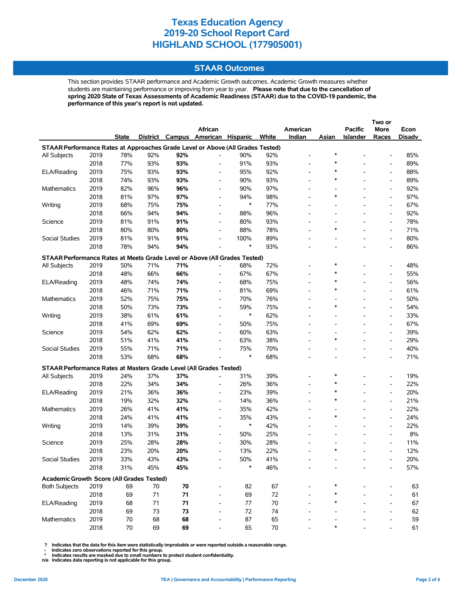## **STAAR Outcomes**

This section provides STAAR performance and Academic Growth outcomes. Academic Growth measures whether students are maintaining performance or improving from year to year. **Please note that due to the cancellation of spring 2020 State of Texas Assessments of Academic Readiness (STAAR) due to the COVID-19 pandemic, the performance of this year's report is not updated.**

|                                                                                |      |              |          |     |                          |                 |        |                          |                          |                          | Two or                   |        |
|--------------------------------------------------------------------------------|------|--------------|----------|-----|--------------------------|-----------------|--------|--------------------------|--------------------------|--------------------------|--------------------------|--------|
|                                                                                |      |              |          |     | African                  |                 |        | American                 |                          | <b>Pacific</b>           | More                     | Econ   |
|                                                                                |      | <b>State</b> | District |     | Campus American          | <b>Hispanic</b> | White  | Indian                   | Asian                    | <b>Islander</b>          | Races                    | Disadv |
| STAAR Performance Rates at Approaches Grade Level or Above (All Grades Tested) |      |              |          |     |                          |                 |        |                          |                          |                          |                          |        |
| All Subjects                                                                   | 2019 | 78%          | 92%      | 92% | $\overline{\phantom{0}}$ | 90%             | 92%    | $\overline{\phantom{0}}$ | $\ast$                   |                          | $\overline{\phantom{a}}$ | 85%    |
|                                                                                | 2018 | 77%          | 93%      | 93% | $\overline{\phantom{0}}$ | 91%             | 93%    | $\overline{a}$           | $\ast$                   |                          | $\overline{\phantom{a}}$ | 89%    |
| ELA/Reading                                                                    | 2019 | 75%          | 93%      | 93% | $\overline{\phantom{a}}$ | 95%             | 92%    | $\overline{\phantom{0}}$ | $\ast$                   |                          | $\overline{\phantom{a}}$ | 88%    |
|                                                                                | 2018 | 74%          | 93%      | 93% | $\overline{\phantom{a}}$ | 90%             | 93%    | $\overline{\phantom{0}}$ | $\ast$                   |                          | $\overline{\phantom{a}}$ | 89%    |
| Mathematics                                                                    | 2019 | 82%          | 96%      | 96% | $\overline{\phantom{0}}$ | 90%             | 97%    |                          | $\overline{a}$           |                          | $\overline{\phantom{a}}$ | 92%    |
|                                                                                | 2018 | 81%          | 97%      | 97% | $\overline{\phantom{a}}$ | 94%             | 98%    | $\overline{a}$           | $\ast$                   |                          | $\overline{\phantom{a}}$ | 97%    |
| Writing                                                                        | 2019 | 68%          | 75%      | 75% | $\overline{\phantom{0}}$ | $\ast$          | 77%    | $\overline{\phantom{0}}$ |                          |                          | $\overline{\phantom{a}}$ | 67%    |
|                                                                                | 2018 | 66%          | 94%      | 94% | $\overline{\phantom{0}}$ | 88%             | 96%    |                          |                          |                          | $\overline{\phantom{a}}$ | 92%    |
| Science                                                                        | 2019 | 81%          | 91%      | 91% | $\overline{\phantom{a}}$ | 80%             | 93%    |                          |                          |                          | $\overline{\phantom{a}}$ | 78%    |
|                                                                                | 2018 | 80%          | 80%      | 80% | $\overline{\phantom{0}}$ | 88%             | 78%    |                          | $\ast$                   |                          | $\overline{\phantom{a}}$ | 71%    |
| Social Studies                                                                 | 2019 | 81%          | 91%      | 91% | $\overline{a}$           | 100%            | 89%    |                          |                          |                          | $\overline{\phantom{a}}$ | 80%    |
|                                                                                | 2018 | 78%          | 94%      | 94% | $\blacksquare$           | $\ast$          | 93%    |                          | $\overline{\phantom{a}}$ |                          | $\overline{\phantom{a}}$ | 86%    |
| STAAR Performance Rates at Meets Grade Level or Above (All Grades Tested)      |      |              |          |     |                          |                 |        |                          |                          |                          |                          |        |
| All Subjects                                                                   | 2019 | 50%          | 71%      | 71% | $\overline{\phantom{0}}$ | 68%             | 72%    |                          | $\ast$                   |                          | $\overline{\phantom{a}}$ | 48%    |
|                                                                                | 2018 | 48%          | 66%      | 66% | $\overline{\phantom{a}}$ | 67%             | 67%    | $\overline{\phantom{0}}$ | $\ast$                   |                          | $\overline{\phantom{a}}$ | 55%    |
| ELA/Reading                                                                    | 2019 | 48%          | 74%      | 74% | $\overline{\phantom{a}}$ | 68%             | 75%    |                          | ∗                        |                          | $\overline{\phantom{a}}$ | 56%    |
|                                                                                | 2018 | 46%          | 71%      | 71% | $\overline{\phantom{a}}$ | 81%             | 69%    |                          | $\ast$                   |                          | $\overline{a}$           | 61%    |
| Mathematics                                                                    | 2019 | 52%          | 75%      | 75% | $\blacksquare$           | 70%             | 76%    | $\overline{\phantom{0}}$ | $\overline{\phantom{a}}$ |                          | $\overline{\phantom{a}}$ | 50%    |
|                                                                                | 2018 | 50%          | 73%      | 73% | $\overline{\phantom{0}}$ | 59%             | 75%    |                          | *                        |                          | $\overline{\phantom{a}}$ | 54%    |
| Writing                                                                        | 2019 | 38%          | 61%      | 61% | $\overline{\phantom{a}}$ | $\ast$          | 62%    |                          |                          |                          | $\overline{\phantom{a}}$ | 33%    |
|                                                                                | 2018 | 41%          | 69%      | 69% | $\overline{\phantom{a}}$ | 50%             | 75%    | $\overline{\phantom{0}}$ | $\overline{\phantom{a}}$ | $\overline{\phantom{a}}$ | $\overline{\phantom{a}}$ | 67%    |
| Science                                                                        | 2019 | 54%          | 62%      | 62% | $\overline{\phantom{a}}$ | 60%             | 63%    |                          | $\overline{a}$           |                          | $\overline{\phantom{a}}$ | 39%    |
|                                                                                | 2018 | 51%          | 41%      | 41% | $\overline{\phantom{a}}$ | 63%             | 38%    |                          | $\ast$                   |                          | $\overline{\phantom{a}}$ | 29%    |
| Social Studies                                                                 | 2019 | 55%          | 71%      | 71% | $\blacksquare$           | 75%             | 70%    |                          | $\overline{a}$           |                          | $\overline{\phantom{a}}$ | 40%    |
|                                                                                | 2018 | 53%          | 68%      | 68% |                          | $\ast$          | 68%    |                          |                          |                          | $\overline{\phantom{a}}$ | 71%    |
| STAAR Performance Rates at Masters Grade Level (All Grades Tested)             |      |              |          |     |                          |                 |        |                          |                          |                          |                          |        |
| All Subjects                                                                   | 2019 | 24%          | 37%      | 37% |                          | 31%             | 39%    |                          | *                        |                          | $\overline{\phantom{a}}$ | 19%    |
|                                                                                | 2018 | 22%          | 34%      | 34% | $\overline{\phantom{0}}$ | 26%             | 36%    |                          | $\ast$                   |                          | $\overline{\phantom{a}}$ | 22%    |
| ELA/Reading                                                                    | 2019 | 21%          | 36%      | 36% | $\overline{\phantom{a}}$ | 23%             | 39%    |                          | $\ast$                   |                          | $\overline{\phantom{a}}$ | 20%    |
|                                                                                | 2018 | 19%          | 32%      | 32% | $\overline{\phantom{a}}$ | 14%             | 36%    | $\blacksquare$           | *                        |                          | $\overline{\phantom{a}}$ | 21%    |
| Mathematics                                                                    | 2019 | 26%          | 41%      | 41% | $\overline{\phantom{a}}$ | 35%             | 42%    |                          | $\overline{a}$           |                          | $\overline{\phantom{a}}$ | 22%    |
|                                                                                | 2018 | 24%          | 41%      | 41% | $\overline{\phantom{a}}$ | 35%             | 43%    |                          | $\ast$                   |                          | $\overline{\phantom{a}}$ | 24%    |
| Writing                                                                        | 2019 | 14%          | 39%      | 39% | $\overline{\phantom{0}}$ | $\ast$          | 42%    |                          | $\overline{\phantom{a}}$ |                          | $\overline{\phantom{a}}$ | 22%    |
|                                                                                | 2018 | 13%          | 31%      | 31% | $\overline{\phantom{a}}$ | 50%             | 25%    |                          |                          |                          | $\overline{\phantom{a}}$ | 8%     |
| Science                                                                        | 2019 | 25%          | 28%      | 28% | $\overline{\phantom{a}}$ | 30%             | 28%    |                          | $\overline{\phantom{a}}$ |                          | $\overline{\phantom{a}}$ | 11%    |
|                                                                                | 2018 | 23%          | 20%      | 20% | $\overline{\phantom{0}}$ | 13%             | 22%    |                          | $\ast$                   |                          | $\overline{\phantom{a}}$ | 12%    |
| Social Studies                                                                 | 2019 | 33%          | 43%      | 43% |                          | 50%             | 41%    |                          |                          |                          |                          | 20%    |
|                                                                                | 2018 | 31%          | 45%      | 45% |                          | $\ast$          | 46%    |                          |                          |                          |                          | 57%    |
|                                                                                |      |              |          |     |                          |                 |        |                          |                          |                          |                          |        |
| Academic Growth Score (All Grades Tested)                                      |      |              |          |     |                          |                 |        |                          |                          |                          |                          |        |
| <b>Both Subjects</b>                                                           | 2019 | 69           | 70       | 70  | $\overline{\phantom{0}}$ | 82              | 67     |                          |                          |                          |                          | 63     |
|                                                                                | 2018 | 69           | 71       | 71  |                          | 69              | 72     |                          | *                        |                          |                          | 61     |
| ELA/Reading                                                                    | 2019 | 68           | 71       | 71  |                          | 77              | 70     |                          |                          |                          |                          | 67     |
|                                                                                | 2018 | 69           | 73       | 73  | $\overline{\phantom{0}}$ | 72              | 74     |                          |                          |                          | $\overline{a}$           | 62     |
| Mathematics                                                                    | 2019 | 70           | 68       | 68  |                          | 87              | 65     |                          | $\ast$                   |                          |                          | 59     |
|                                                                                | 2018 | 70           | 69       | 69  |                          | 65              | $70\,$ |                          |                          |                          |                          | 61     |

 **? Indicates that the data for this item were statistically improbable or were reported outside a reasonable range.**

 **- Indicates zero observations reported for this group. \* Indicates results are masked due to small numbers to protect student confidentiality.**

**n/a Indicates data reporting is not applicable for this group.**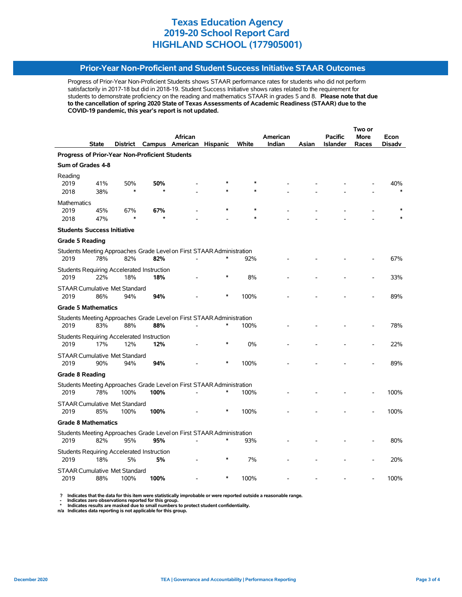## **Prior-Year Non-Proficient and Student Success Initiative STAAR Outcomes**

Progress of Prior-Year Non-Proficient Students shows STAAR performance rates for students who did not perform satisfactorily in 2017-18 but did in 2018-19. Student Success Initiative shows rates related to the requirement for students to demonstrate proficiency on the reading and mathematics STAAR in grades 5 and 8. **Please note that due to the cancellation of spring 2020 State of Texas Assessments of Academic Readiness (STAAR) due to the COVID-19 pandemic, this year's report is not updated.**

|                                                       |              |                                              |                                                   |                                                                       |                 |       |          |       | Two or          |             |               |  |  |
|-------------------------------------------------------|--------------|----------------------------------------------|---------------------------------------------------|-----------------------------------------------------------------------|-----------------|-------|----------|-------|-----------------|-------------|---------------|--|--|
|                                                       |              |                                              |                                                   | African                                                               |                 |       | American |       | <b>Pacific</b>  | <b>More</b> | Econ          |  |  |
|                                                       | <b>State</b> |                                              |                                                   | District Campus American                                              | <b>Hispanic</b> | White | Indian   | Asian | <b>Islander</b> | Races       | <b>Disadv</b> |  |  |
| <b>Progress of Prior-Year Non-Proficient Students</b> |              |                                              |                                                   |                                                                       |                 |       |          |       |                 |             |               |  |  |
| Sum of Grades 4-8                                     |              |                                              |                                                   |                                                                       |                 |       |          |       |                 |             |               |  |  |
| Reading<br>2019<br>2018                               | 41%<br>38%   | 50%<br>$\ast$                                | 50%                                               |                                                                       |                 |       |          |       |                 |             | 40%           |  |  |
|                                                       |              |                                              |                                                   |                                                                       |                 |       |          |       |                 |             |               |  |  |
| <b>Mathematics</b><br>2019<br>2018                    | 45%<br>47%   | 67%                                          | 67%                                               |                                                                       |                 |       |          |       |                 |             |               |  |  |
| <b>Students Success Initiative</b>                    |              |                                              |                                                   |                                                                       |                 |       |          |       |                 |             |               |  |  |
| <b>Grade 5 Reading</b>                                |              |                                              |                                                   |                                                                       |                 |       |          |       |                 |             |               |  |  |
| 2019                                                  | 78%          | 82%                                          | 82%                                               | Students Meeting Approaches Grade Level on First STAAR Administration | $\ast$          | 92%   |          |       |                 |             | 67%           |  |  |
| 2019                                                  | 22%          | 18%                                          | Students Requiring Accelerated Instruction<br>18% |                                                                       | $\ast$          | 8%    |          |       |                 |             | 33%           |  |  |
| 2019                                                  | 86%          | <b>STAAR Cumulative Met Standard</b><br>94%  | 94%                                               |                                                                       | $\ast$          | 100%  |          |       |                 |             | 89%           |  |  |
| <b>Grade 5 Mathematics</b>                            |              |                                              |                                                   |                                                                       |                 |       |          |       |                 |             |               |  |  |
|                                                       |              |                                              |                                                   | Students Meeting Approaches Grade Level on First STAAR Administration |                 |       |          |       |                 |             |               |  |  |
| 2019                                                  | 83%          | 88%                                          | 88%                                               |                                                                       | $\ast$          | 100%  |          |       |                 |             | 78%           |  |  |
| 2019                                                  | 17%          | 12%                                          | Students Requiring Accelerated Instruction<br>12% |                                                                       | *               | 0%    |          |       |                 |             | 22%           |  |  |
| 2019                                                  | 90%          | <b>STAAR Cumulative Met Standard</b><br>94%  | 94%                                               |                                                                       | $\ast$          | 100%  |          |       |                 |             | 89%           |  |  |
| <b>Grade 8 Reading</b>                                |              |                                              |                                                   |                                                                       |                 |       |          |       |                 |             |               |  |  |
|                                                       |              |                                              |                                                   | Students Meeting Approaches Grade Level on First STAAR Administration |                 |       |          |       |                 |             |               |  |  |
| 2019                                                  | 78%          | 100%                                         | 100%                                              |                                                                       | $\ast$          | 100%  |          |       |                 |             | 100%          |  |  |
| 2019                                                  | 85%          | <b>STAAR Cumulative Met Standard</b><br>100% | 100%                                              |                                                                       | *               | 100%  |          |       |                 |             | 100%          |  |  |
| <b>Grade 8 Mathematics</b>                            |              |                                              |                                                   |                                                                       |                 |       |          |       |                 |             |               |  |  |
|                                                       |              |                                              |                                                   | Students Meeting Approaches Grade Level on First STAAR Administration |                 |       |          |       |                 |             |               |  |  |
| 2019                                                  | 82%          | 95%                                          | 95%                                               |                                                                       | $\ast$          | 93%   |          |       |                 |             | 80%           |  |  |
| 2019                                                  | 18%          | 5%                                           | Students Requiring Accelerated Instruction<br>5%  |                                                                       |                 | 7%    |          |       |                 |             | 20%           |  |  |
| 2019                                                  | 88%          | <b>STAAR Cumulative Met Standard</b><br>100% | 100%                                              |                                                                       |                 | 100%  |          |       |                 |             | 100%          |  |  |

? Indicates that the data for this item were statistically improbable or were reported outside a reasonable range.<br>- Indicates zero observations reported for this group.<br>\* Indicates results are masked due to small numbers

**n/a Indicates data reporting is not applicable for this group.**